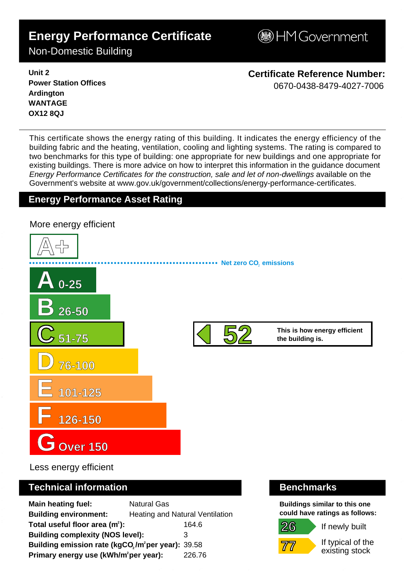# **Energy Performance Certificate**

**BHM Government** 

Non-Domestic Building

**Unit 2 Power Station Offices Ardington WANTAGE OX12 8QJ**

**Certificate Reference Number:** 0670-0438-8479-4027-7006

This certificate shows the energy rating of this building. It indicates the energy efficiency of the building fabric and the heating, ventilation, cooling and lighting systems. The rating is compared to two benchmarks for this type of building: one appropriate for new buildings and one appropriate for existing buildings. There is more advice on how to interpret this information in the guidance document Energy Performance Certificates for the construction, sale and let of non-dwellings available on the Government's website at www.gov.uk/government/collections/energy-performance-certificates.

# **Energy Performance Asset Rating**



Less energy efficient

# **Technical information Benchmarks**

**Main heating fuel:** Natural Gas **Building environment:** Heating and Natural Ventilation Total useful floor area (m<sup>2</sup>): 164.6 **Building complexity (NOS level):** 3 **Building emission rate (kgCO<sub>2</sub>/m<sup>2</sup>per year): 39.58 Primary energy use (kWh/m<sup>2</sup>per year):** 226.76

**Buildings similar to this one could have ratings as follows:**

If newly built



**26**

If typical of the existing stock